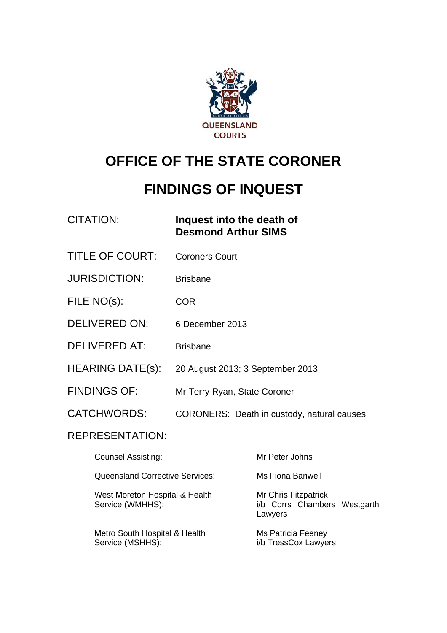

# **OFFICE OF THE STATE CORONER**

# **FINDINGS OF INQUEST**

| CITATION: | Inquest into the death of  |
|-----------|----------------------------|
|           | <b>Desmond Arthur SIMS</b> |

- TITLE OF COURT: Coroners Court
- JURISDICTION: Brisbane
- FILE NO(s): COR
- DELIVERED ON: 6 December 2013
- DELIVERED AT: Brisbane
- HEARING DATE(s): 20 August 2013; 3 September 2013
- FINDINGS OF: Mr Terry Ryan, State Coroner
- CATCHWORDS: CORONERS: Death in custody, natural causes

#### REPRESENTATION:

| <b>Counsel Assisting:</b>                          | Mr Peter Johns                                                  |
|----------------------------------------------------|-----------------------------------------------------------------|
| <b>Queensland Corrective Services:</b>             | Ms Fiona Banwell                                                |
| West Moreton Hospital & Health<br>Service (WMHHS): | Mr Chris Fitzpatrick<br>i/b Corrs Chambers Westgarth<br>Lawyers |
| Metro South Hospital & Health<br>Service (MSHHS):  | Ms Patricia Feeney<br>i/b TressCox Lawyers                      |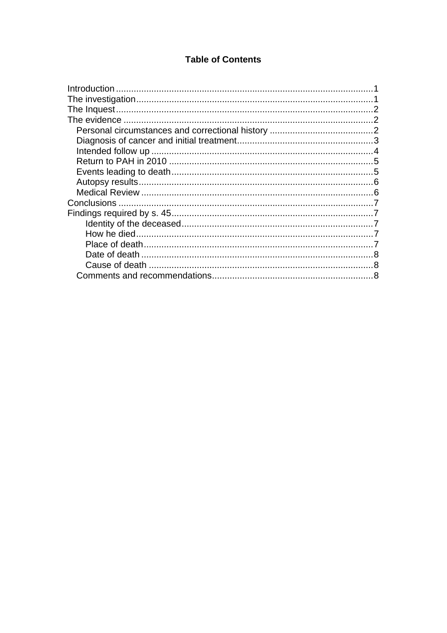#### **Table of Contents**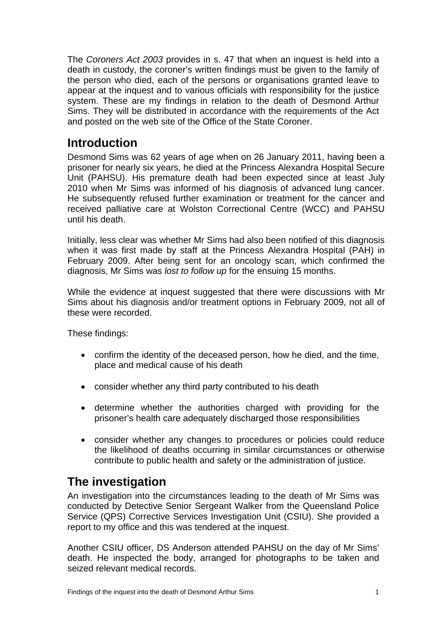The *Coroners Act 2003* provides in s. 47 that when an inquest is held into a death in custody, the coroner's written findings must be given to the family of the person who died, each of the persons or organisations granted leave to appear at the inquest and to various officials with responsibility for the justice system. These are my findings in relation to the death of Desmond Arthur Sims. They will be distributed in accordance with the requirements of the Act and posted on the web site of the Office of the State Coroner.

# <span id="page-2-0"></span>**Introduction**

Desmond Sims was 62 years of age when on 26 January 2011, having been a prisoner for nearly six years, he died at the Princess Alexandra Hospital Secure Unit (PAHSU). His premature death had been expected since at least July 2010 when Mr Sims was informed of his diagnosis of advanced lung cancer. He subsequently refused further examination or treatment for the cancer and received palliative care at Wolston Correctional Centre (WCC) and PAHSU until his death.

Initially, less clear was whether Mr Sims had also been notified of this diagnosis when it was first made by staff at the Princess Alexandra Hospital (PAH) in February 2009. After being sent for an oncology scan, which confirmed the diagnosis, Mr Sims was *lost to follow up* for the ensuing 15 months.

While the evidence at inquest suggested that there were discussions with Mr Sims about his diagnosis and/or treatment options in February 2009, not all of these were recorded.

These findings:

- confirm the identity of the deceased person, how he died, and the time, place and medical cause of his death
- consider whether any third party contributed to his death
- determine whether the authorities charged with providing for the prisoner's health care adequately discharged those responsibilities
- consider whether any changes to procedures or policies could reduce the likelihood of deaths occurring in similar circumstances or otherwise contribute to public health and safety or the administration of justice.

# <span id="page-2-1"></span>**The investigation**

An investigation into the circumstances leading to the death of Mr Sims was conducted by Detective Senior Sergeant Walker from the Queensland Police Service (QPS) Corrective Services Investigation Unit (CSIU). She provided a report to my office and this was tendered at the inquest.

Another CSIU officer, DS Anderson attended PAHSU on the day of Mr Sims' death. He inspected the body, arranged for photographs to be taken and seized relevant medical records.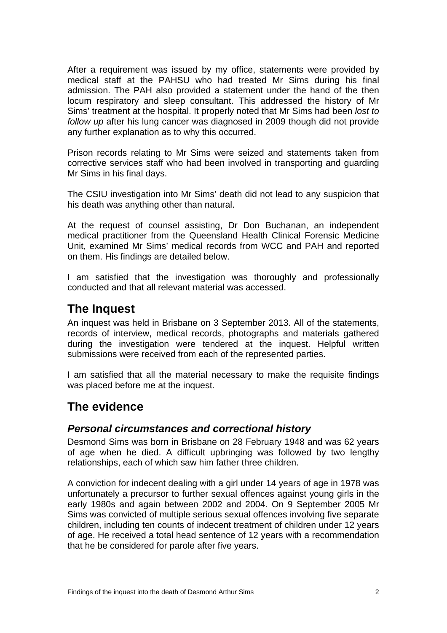After a requirement was issued by my office, statements were provided by medical staff at the PAHSU who had treated Mr Sims during his final admission. The PAH also provided a statement under the hand of the then locum respiratory and sleep consultant. This addressed the history of Mr Sims' treatment at the hospital. It properly noted that Mr Sims had been *lost to follow up* after his lung cancer was diagnosed in 2009 though did not provide any further explanation as to why this occurred.

Prison records relating to Mr Sims were seized and statements taken from corrective services staff who had been involved in transporting and guarding Mr Sims in his final days.

The CSIU investigation into Mr Sims' death did not lead to any suspicion that his death was anything other than natural.

At the request of counsel assisting, Dr Don Buchanan, an independent medical practitioner from the Queensland Health Clinical Forensic Medicine Unit, examined Mr Sims' medical records from WCC and PAH and reported on them. His findings are detailed below.

I am satisfied that the investigation was thoroughly and professionally conducted and that all relevant material was accessed.

## <span id="page-3-0"></span>**The Inquest**

An inquest was held in Brisbane on 3 September 2013. All of the statements, records of interview, medical records, photographs and materials gathered during the investigation were tendered at the inquest. Helpful written submissions were received from each of the represented parties.

I am satisfied that all the material necessary to make the requisite findings was placed before me at the inquest.

## <span id="page-3-1"></span>**The evidence**

#### <span id="page-3-2"></span>*Personal circumstances and correctional history*

Desmond Sims was born in Brisbane on 28 February 1948 and was 62 years of age when he died. A difficult upbringing was followed by two lengthy relationships, each of which saw him father three children.

A conviction for indecent dealing with a girl under 14 years of age in 1978 was unfortunately a precursor to further sexual offences against young girls in the early 1980s and again between 2002 and 2004. On 9 September 2005 Mr Sims was convicted of multiple serious sexual offences involving five separate children, including ten counts of indecent treatment of children under 12 years of age. He received a total head sentence of 12 years with a recommendation that he be considered for parole after five years.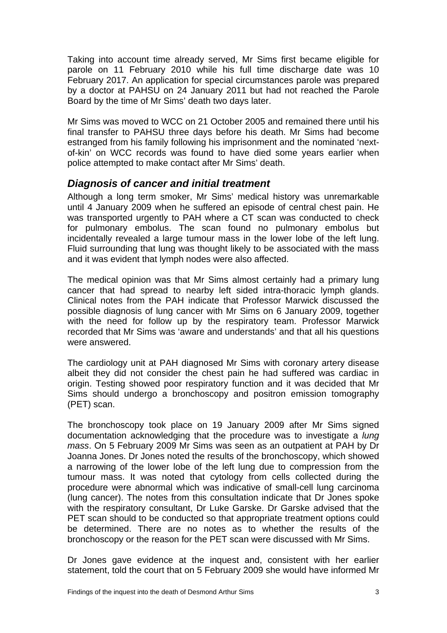Taking into account time already served, Mr Sims first became eligible for parole on 11 February 2010 while his full time discharge date was 10 February 2017. An application for special circumstances parole was prepared by a doctor at PAHSU on 24 January 2011 but had not reached the Parole Board by the time of Mr Sims' death two days later.

Mr Sims was moved to WCC on 21 October 2005 and remained there until his final transfer to PAHSU three days before his death. Mr Sims had become estranged from his family following his imprisonment and the nominated 'nextof-kin' on WCC records was found to have died some years earlier when police attempted to make contact after Mr Sims' death.

#### <span id="page-4-0"></span>*Diagnosis of cancer and initial treatment*

Although a long term smoker, Mr Sims' medical history was unremarkable until 4 January 2009 when he suffered an episode of central chest pain. He was transported urgently to PAH where a CT scan was conducted to check for pulmonary embolus. The scan found no pulmonary embolus but incidentally revealed a large tumour mass in the lower lobe of the left lung. Fluid surrounding that lung was thought likely to be associated with the mass and it was evident that lymph nodes were also affected.

The medical opinion was that Mr Sims almost certainly had a primary lung cancer that had spread to nearby left sided intra-thoracic lymph glands. Clinical notes from the PAH indicate that Professor Marwick discussed the possible diagnosis of lung cancer with Mr Sims on 6 January 2009, together with the need for follow up by the respiratory team. Professor Marwick recorded that Mr Sims was 'aware and understands' and that all his questions were answered.

The cardiology unit at PAH diagnosed Mr Sims with coronary artery disease albeit they did not consider the chest pain he had suffered was cardiac in origin. Testing showed poor respiratory function and it was decided that Mr Sims should undergo a bronchoscopy and positron emission tomography (PET) scan.

The bronchoscopy took place on 19 January 2009 after Mr Sims signed documentation acknowledging that the procedure was to investigate a *lung mass*. On 5 February 2009 Mr Sims was seen as an outpatient at PAH by Dr Joanna Jones. Dr Jones noted the results of the bronchoscopy, which showed a narrowing of the lower lobe of the left lung due to compression from the tumour mass. It was noted that cytology from cells collected during the procedure were abnormal which was indicative of small-cell lung carcinoma (lung cancer). The notes from this consultation indicate that Dr Jones spoke with the respiratory consultant, Dr Luke Garske. Dr Garske advised that the PET scan should to be conducted so that appropriate treatment options could be determined. There are no notes as to whether the results of the bronchoscopy or the reason for the PET scan were discussed with Mr Sims.

Dr Jones gave evidence at the inquest and, consistent with her earlier statement, told the court that on 5 February 2009 she would have informed Mr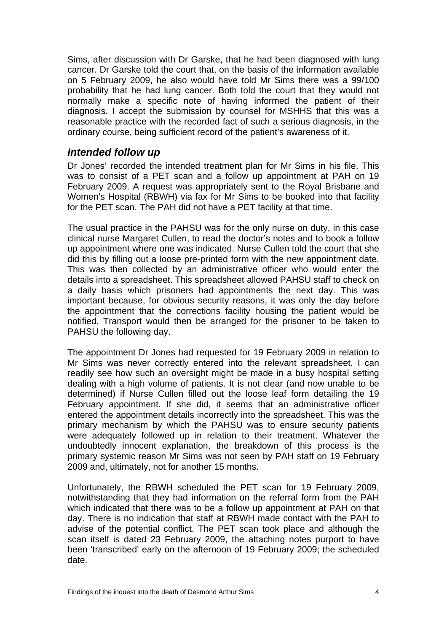Sims, after discussion with Dr Garske, that he had been diagnosed with lung cancer. Dr Garske told the court that, on the basis of the information available on 5 February 2009, he also would have told Mr Sims there was a 99/100 probability that he had lung cancer. Both told the court that they would not normally make a specific note of having informed the patient of their diagnosis. I accept the submission by counsel for MSHHS that this was a reasonable practice with the recorded fact of such a serious diagnosis, in the ordinary course, being sufficient record of the patient's awareness of it.

#### <span id="page-5-0"></span>*Intended follow up*

Dr Jones' recorded the intended treatment plan for Mr Sims in his file. This was to consist of a PET scan and a follow up appointment at PAH on 19 February 2009. A request was appropriately sent to the Royal Brisbane and Women's Hospital (RBWH) via fax for Mr Sims to be booked into that facility for the PET scan. The PAH did not have a PET facility at that time.

The usual practice in the PAHSU was for the only nurse on duty, in this case clinical nurse Margaret Cullen, to read the doctor's notes and to book a follow up appointment where one was indicated. Nurse Cullen told the court that she did this by filling out a loose pre-printed form with the new appointment date. This was then collected by an administrative officer who would enter the details into a spreadsheet. This spreadsheet allowed PAHSU staff to check on a daily basis which prisoners had appointments the next day. This was important because, for obvious security reasons, it was only the day before the appointment that the corrections facility housing the patient would be notified. Transport would then be arranged for the prisoner to be taken to PAHSU the following day.

The appointment Dr Jones had requested for 19 February 2009 in relation to Mr Sims was never correctly entered into the relevant spreadsheet. I can readily see how such an oversight might be made in a busy hospital setting dealing with a high volume of patients. It is not clear (and now unable to be determined) if Nurse Cullen filled out the loose leaf form detailing the 19 February appointment. If she did, it seems that an administrative officer entered the appointment details incorrectly into the spreadsheet. This was the primary mechanism by which the PAHSU was to ensure security patients were adequately followed up in relation to their treatment. Whatever the undoubtedly innocent explanation, the breakdown of this process is the primary systemic reason Mr Sims was not seen by PAH staff on 19 February 2009 and, ultimately, not for another 15 months.

Unfortunately, the RBWH scheduled the PET scan for 19 February 2009, notwithstanding that they had information on the referral form from the PAH which indicated that there was to be a follow up appointment at PAH on that day. There is no indication that staff at RBWH made contact with the PAH to advise of the potential conflict. The PET scan took place and although the scan itself is dated 23 February 2009, the attaching notes purport to have been 'transcribed' early on the afternoon of 19 February 2009; the scheduled date.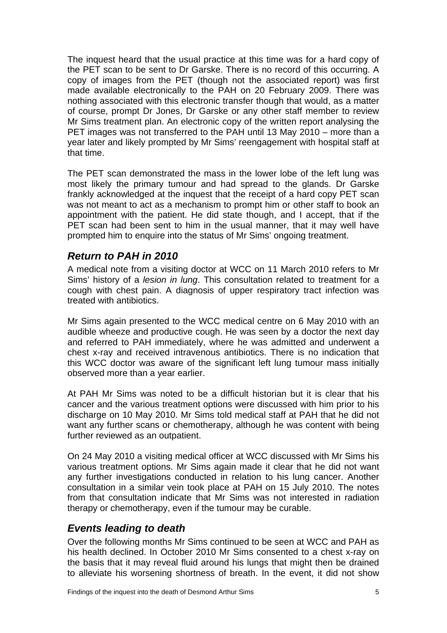The inquest heard that the usual practice at this time was for a hard copy of the PET scan to be sent to Dr Garske. There is no record of this occurring. A copy of images from the PET (though not the associated report) was first made available electronically to the PAH on 20 February 2009. There was nothing associated with this electronic transfer though that would, as a matter of course, prompt Dr Jones, Dr Garske or any other staff member to review Mr Sims treatment plan. An electronic copy of the written report analysing the PET images was not transferred to the PAH until 13 May 2010 – more than a year later and likely prompted by Mr Sims' reengagement with hospital staff at that time.

The PET scan demonstrated the mass in the lower lobe of the left lung was most likely the primary tumour and had spread to the glands. Dr Garske frankly acknowledged at the inquest that the receipt of a hard copy PET scan was not meant to act as a mechanism to prompt him or other staff to book an appointment with the patient. He did state though, and I accept, that if the PET scan had been sent to him in the usual manner, that it may well have prompted him to enquire into the status of Mr Sims' ongoing treatment.

#### <span id="page-6-0"></span>*Return to PAH in 2010*

A medical note from a visiting doctor at WCC on 11 March 2010 refers to Mr Sims' history of a *lesion in lung*. This consultation related to treatment for a cough with chest pain. A diagnosis of upper respiratory tract infection was treated with antibiotics.

Mr Sims again presented to the WCC medical centre on 6 May 2010 with an audible wheeze and productive cough. He was seen by a doctor the next day and referred to PAH immediately, where he was admitted and underwent a chest x-ray and received intravenous antibiotics. There is no indication that this WCC doctor was aware of the significant left lung tumour mass initially observed more than a year earlier.

At PAH Mr Sims was noted to be a difficult historian but it is clear that his cancer and the various treatment options were discussed with him prior to his discharge on 10 May 2010. Mr Sims told medical staff at PAH that he did not want any further scans or chemotherapy, although he was content with being further reviewed as an outpatient.

On 24 May 2010 a visiting medical officer at WCC discussed with Mr Sims his various treatment options. Mr Sims again made it clear that he did not want any further investigations conducted in relation to his lung cancer. Another consultation in a similar vein took place at PAH on 15 July 2010. The notes from that consultation indicate that Mr Sims was not interested in radiation therapy or chemotherapy, even if the tumour may be curable.

#### <span id="page-6-1"></span>*Events leading to death*

Over the following months Mr Sims continued to be seen at WCC and PAH as his health declined. In October 2010 Mr Sims consented to a chest x-ray on the basis that it may reveal fluid around his lungs that might then be drained to alleviate his worsening shortness of breath. In the event, it did not show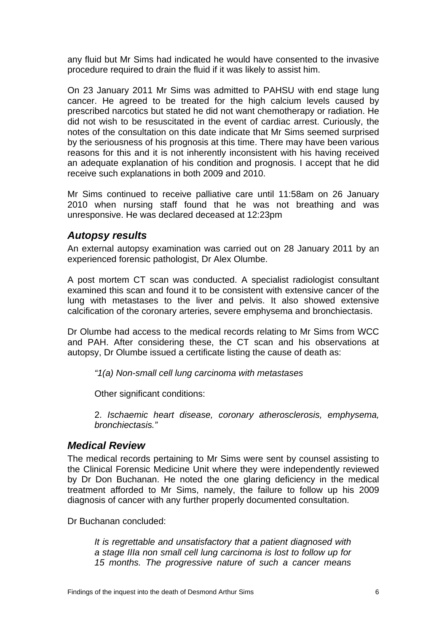any fluid but Mr Sims had indicated he would have consented to the invasive procedure required to drain the fluid if it was likely to assist him.

On 23 January 2011 Mr Sims was admitted to PAHSU with end stage lung cancer. He agreed to be treated for the high calcium levels caused by prescribed narcotics but stated he did not want chemotherapy or radiation. He did not wish to be resuscitated in the event of cardiac arrest. Curiously, the notes of the consultation on this date indicate that Mr Sims seemed surprised by the seriousness of his prognosis at this time. There may have been various reasons for this and it is not inherently inconsistent with his having received an adequate explanation of his condition and prognosis. I accept that he did receive such explanations in both 2009 and 2010.

Mr Sims continued to receive palliative care until 11:58am on 26 January 2010 when nursing staff found that he was not breathing and was unresponsive. He was declared deceased at 12:23pm

#### <span id="page-7-0"></span>*Autopsy results*

An external autopsy examination was carried out on 28 January 2011 by an experienced forensic pathologist, Dr Alex Olumbe.

A post mortem CT scan was conducted. A specialist radiologist consultant examined this scan and found it to be consistent with extensive cancer of the lung with metastases to the liver and pelvis. It also showed extensive calcification of the coronary arteries, severe emphysema and bronchiectasis.

Dr Olumbe had access to the medical records relating to Mr Sims from WCC and PAH. After considering these, the CT scan and his observations at autopsy, Dr Olumbe issued a certificate listing the cause of death as:

*"1(a) Non-small cell lung carcinoma with metastases* 

Other significant conditions:

2. *Ischaemic heart disease, coronary atherosclerosis, emphysema, bronchiectasis."* 

#### <span id="page-7-1"></span>*Medical Review*

The medical records pertaining to Mr Sims were sent by counsel assisting to the Clinical Forensic Medicine Unit where they were independently reviewed by Dr Don Buchanan. He noted the one glaring deficiency in the medical treatment afforded to Mr Sims, namely, the failure to follow up his 2009 diagnosis of cancer with any further properly documented consultation.

Dr Buchanan concluded:

*It is regrettable and unsatisfactory that a patient diagnosed with a stage IIIa non small cell lung carcinoma is lost to follow up for 15 months. The progressive nature of such a cancer means*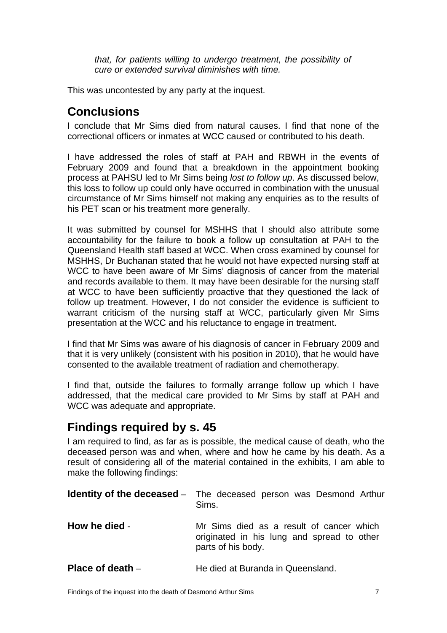*that, for patients willing to undergo treatment, the possibility of cure or extended survival diminishes with time.*

This was uncontested by any party at the inquest.

# <span id="page-8-0"></span>**Conclusions**

I conclude that Mr Sims died from natural causes. I find that none of the correctional officers or inmates at WCC caused or contributed to his death.

I have addressed the roles of staff at PAH and RBWH in the events of February 2009 and found that a breakdown in the appointment booking process at PAHSU led to Mr Sims being *lost to follow up*. As discussed below, this loss to follow up could only have occurred in combination with the unusual circumstance of Mr Sims himself not making any enquiries as to the results of his PET scan or his treatment more generally.

It was submitted by counsel for MSHHS that I should also attribute some accountability for the failure to book a follow up consultation at PAH to the Queensland Health staff based at WCC. When cross examined by counsel for MSHHS, Dr Buchanan stated that he would not have expected nursing staff at WCC to have been aware of Mr Sims' diagnosis of cancer from the material and records available to them. It may have been desirable for the nursing staff at WCC to have been sufficiently proactive that they questioned the lack of follow up treatment. However, I do not consider the evidence is sufficient to warrant criticism of the nursing staff at WCC, particularly given Mr Sims presentation at the WCC and his reluctance to engage in treatment.

I find that Mr Sims was aware of his diagnosis of cancer in February 2009 and that it is very unlikely (consistent with his position in 2010), that he would have consented to the available treatment of radiation and chemotherapy.

I find that, outside the failures to formally arrange follow up which I have addressed, that the medical care provided to Mr Sims by staff at PAH and WCC was adequate and appropriate.

### <span id="page-8-1"></span>**Findings required by s. 45**

I am required to find, as far as is possible, the medical cause of death, who the deceased person was and when, where and how he came by his death. As a result of considering all of the material contained in the exhibits, I am able to make the following findings:

<span id="page-8-4"></span><span id="page-8-3"></span><span id="page-8-2"></span>

|                    | <b>Identity of the deceased</b> – The deceased person was Desmond Arthur<br>Sims.                            |
|--------------------|--------------------------------------------------------------------------------------------------------------|
| How he died -      | Mr Sims died as a result of cancer which<br>originated in his lung and spread to other<br>parts of his body. |
| Place of death $-$ | He died at Buranda in Queensland.                                                                            |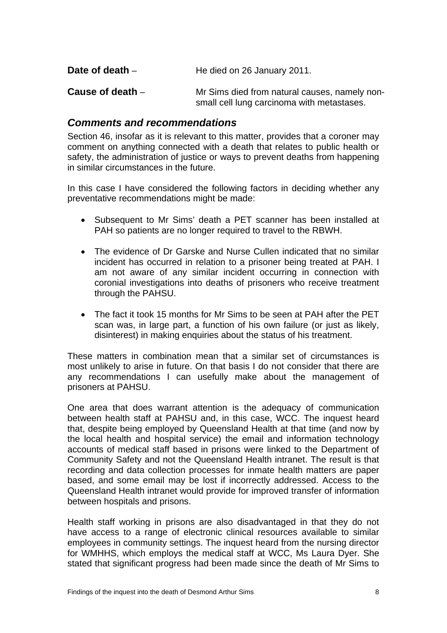<span id="page-9-1"></span><span id="page-9-0"></span>

| Date of death $-$ | He died on 26 January 2011.                                                                 |
|-------------------|---------------------------------------------------------------------------------------------|
| Cause of death -  | Mr Sims died from natural causes, namely non-<br>small cell lung carcinoma with metastases. |

#### <span id="page-9-2"></span>*Comments and recommendations*

Section 46, insofar as it is relevant to this matter, provides that a coroner may comment on anything connected with a death that relates to public health or safety, the administration of justice or ways to prevent deaths from happening in similar circumstances in the future.

In this case I have considered the following factors in deciding whether any preventative recommendations might be made:

- Subsequent to Mr Sims' death a PET scanner has been installed at PAH so patients are no longer required to travel to the RBWH.
- The evidence of Dr Garske and Nurse Cullen indicated that no similar incident has occurred in relation to a prisoner being treated at PAH. I am not aware of any similar incident occurring in connection with coronial investigations into deaths of prisoners who receive treatment through the PAHSU.
- The fact it took 15 months for Mr Sims to be seen at PAH after the PET scan was, in large part, a function of his own failure (or just as likely, disinterest) in making enquiries about the status of his treatment.

These matters in combination mean that a similar set of circumstances is most unlikely to arise in future. On that basis I do not consider that there are any recommendations I can usefully make about the management of prisoners at PAHSU.

One area that does warrant attention is the adequacy of communication between health staff at PAHSU and, in this case, WCC. The inquest heard that, despite being employed by Queensland Health at that time (and now by the local health and hospital service) the email and information technology accounts of medical staff based in prisons were linked to the Department of Community Safety and not the Queensland Health intranet. The result is that recording and data collection processes for inmate health matters are paper based, and some email may be lost if incorrectly addressed. Access to the Queensland Health intranet would provide for improved transfer of information between hospitals and prisons.

Health staff working in prisons are also disadvantaged in that they do not have access to a range of electronic clinical resources available to similar employees in community settings. The inquest heard from the nursing director for WMHHS, which employs the medical staff at WCC, Ms Laura Dyer. She stated that significant progress had been made since the death of Mr Sims to